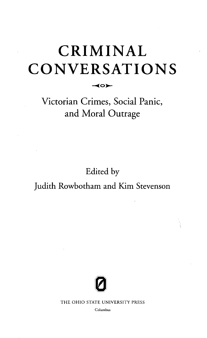## CRIMINAL CONVERSATIONS

◀੦➤

Victorian Crimes, Social Panic, and Moral Outrage

Edited by

## Judith Rowbotham and Kim Stevenson



THE OHIO STATE UNIVERSITY PRESS

Columbus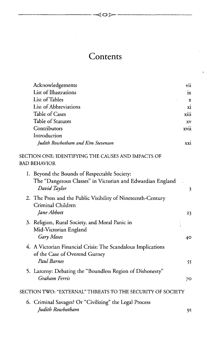## **Contents**

 $\triangle$ 

| Acknowledgements                                                                                                           | vii        |
|----------------------------------------------------------------------------------------------------------------------------|------------|
| List of Illustrations                                                                                                      | ix         |
| List of Tables                                                                                                             | X          |
| List of Abbreviations                                                                                                      | хi         |
| Table of Cases                                                                                                             | xiii       |
| Table of Statutes                                                                                                          | XV         |
| Contributors                                                                                                               | xvii       |
| Introduction                                                                                                               |            |
| Judith Rowbotham and Kim Stevenson                                                                                         | <b>XXI</b> |
| SECTION ONE: IDENTIFYING THE CAUSES AND IMPACTS OF<br><b>BAD BEHAVIOR</b>                                                  |            |
|                                                                                                                            |            |
| 1. Beyond the Bounds of Respectable Society:<br>The "Dangerous Classes" in Victorian and Edwardian England<br>David Taylor |            |
|                                                                                                                            | 3          |
| 2. The Press and the Public Visibility of Nineteenth-Century                                                               |            |
| Criminal Children                                                                                                          |            |
| Jane Abbott                                                                                                                | 23         |
| 3. Religion, Rural Society, and Moral Panic in                                                                             |            |
| Mid-Victorian England                                                                                                      |            |
| Gary Moses                                                                                                                 | 40         |
| 4. A Victorian Financial Crisis: The Scandalous Implications                                                               |            |
| of the Case of Overend Gurney                                                                                              |            |
| <b>Paul Barnes</b>                                                                                                         | 55         |
|                                                                                                                            |            |
| 5. Larceny: Debating the "Boundless Region of Dishonesty"<br>Graham Ferris                                                 |            |
|                                                                                                                            | 70         |
| SECTION TWO: "EXTERNAL" THREATS TO THE SECURITY OF SOCIETY                                                                 |            |
| 6. Criminal Savages? Or "Civilizing" the Legal Process                                                                     |            |
| Judith Rowbotham                                                                                                           | 91         |
|                                                                                                                            |            |

 $\overline{a}$